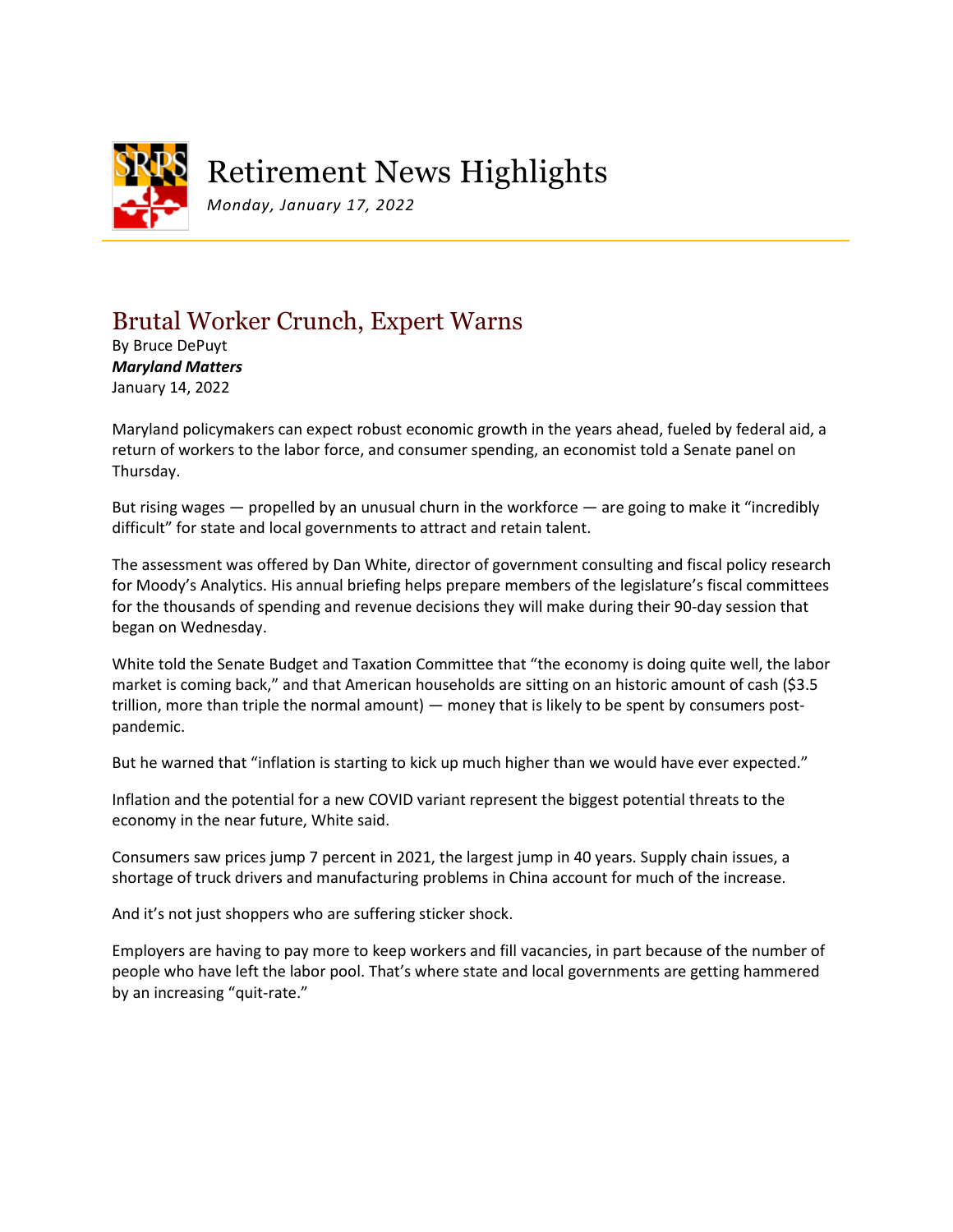

## Brutal Worker Crunch, Expert Warns

By Bruce DePuyt *Maryland Matters* January 14, 2022

Maryland policymakers can expect robust economic growth in the years ahead, fueled by federal aid, a return of workers to the labor force, and consumer spending, an economist told a Senate panel on Thursday.

But rising wages — propelled by an unusual churn in the workforce — are going to make it "incredibly difficult" for state and local governments to attract and retain talent.

The assessment was offered by Dan White, director of government consulting and fiscal policy research for Moody's Analytics. His annual briefing helps prepare members of the legislature's fiscal committees for the thousands of spending and revenue decisions they will make during their 90-day session that began on Wednesday.

White told the Senate Budget and Taxation Committee that "the economy is doing quite well, the labor market is coming back," and that American households are sitting on an historic amount of cash (\$3.5 trillion, more than triple the normal amount) — money that is likely to be spent by consumers postpandemic.

But he warned that "inflation is starting to kick up much higher than we would have ever expected."

Inflation and the potential for a new COVID variant represent the biggest potential threats to the economy in the near future, White said.

Consumers saw prices jump 7 percent in 2021, the largest jump in 40 years. Supply chain issues, a shortage of truck drivers and manufacturing problems in China account for much of the increase.

And it's not just shoppers who are suffering sticker shock.

Employers are having to pay more to keep workers and fill vacancies, in part because of the number of people who have left the labor pool. That's where state and local governments are getting hammered by an increasing "quit-rate."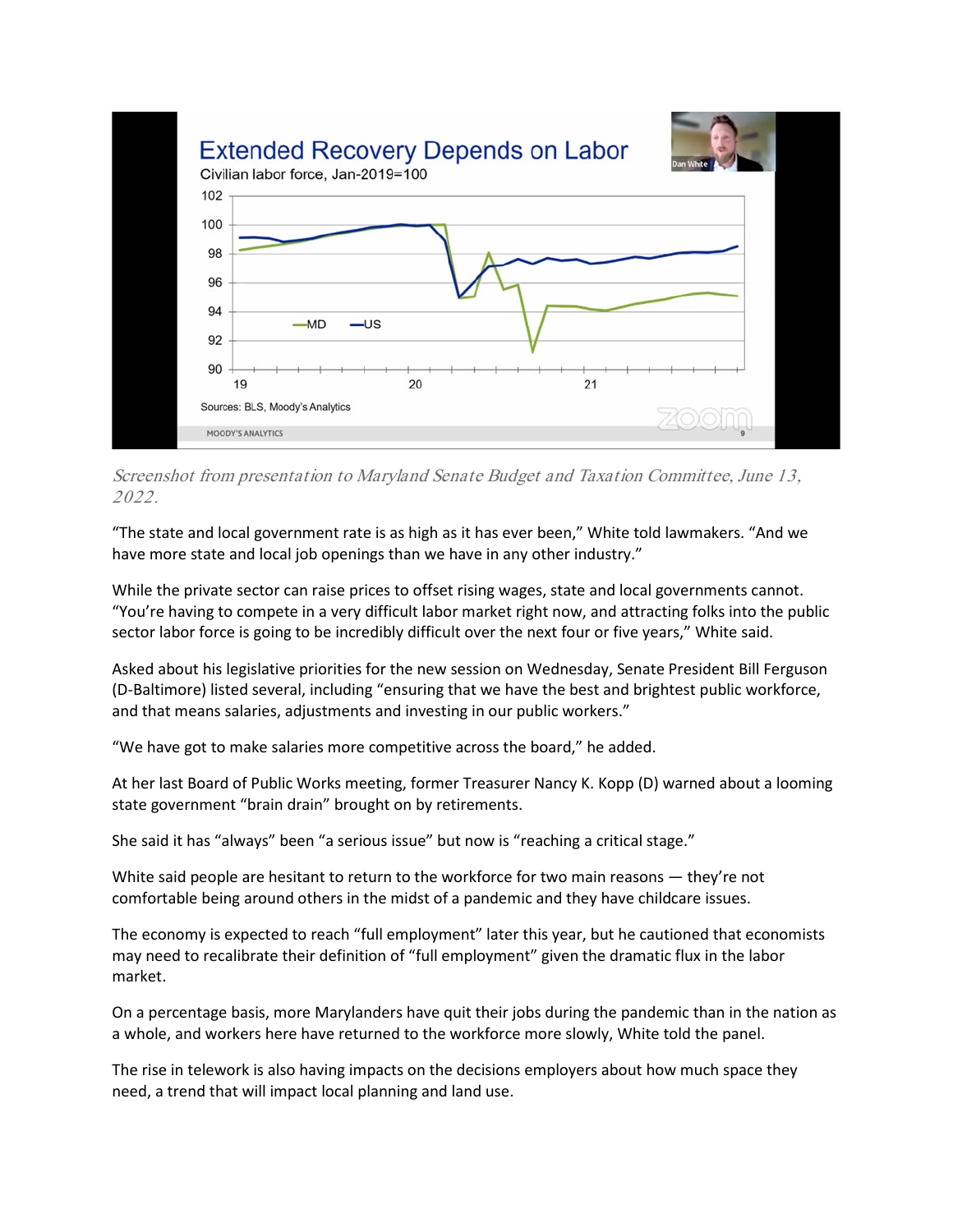

Screenshot from presentation to Maryland Senate Budget and Taxation Committee, June 13, 2022.

"The state and local government rate is as high as it has ever been," White told lawmakers. "And we have more state and local job openings than we have in any other industry."

While the private sector can raise prices to offset rising wages, state and local governments cannot. "You're having to compete in a very difficult labor market right now, and attracting folks into the public sector labor force is going to be incredibly difficult over the next four or five years," White said.

Asked about his legislative priorities for the new session on Wednesday, Senate President Bill Ferguson (D-Baltimore) listed several, including "ensuring that we have the best and brightest public workforce, and that means salaries, adjustments and investing in our public workers."

"We have got to make salaries more competitive across the board," he added.

At her last Board of Public Works meeting, former Treasurer Nancy K. Kopp (D) warned about a looming state government "brain drain" brought on by retirements.

She said it has "always" been "a serious issue" but now is "reaching a critical stage."

White said people are hesitant to return to the workforce for two main reasons — they're not comfortable being around others in the midst of a pandemic and they have childcare issues.

The economy is expected to reach "full employment" later this year, but he cautioned that economists may need to recalibrate their definition of "full employment" given the dramatic flux in the labor market.

On a percentage basis, more Marylanders have quit their jobs during the pandemic than in the nation as a whole, and workers here have returned to the workforce more slowly, White told the panel.

The rise in telework is also having impacts on the decisions employers about how much space they need, a trend that will impact local planning and land use.